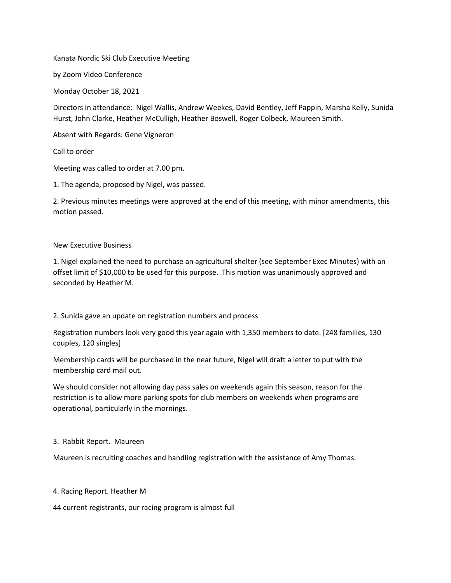Kanata Nordic Ski Club Executive Meeting

by Zoom Video Conference

Monday October 18, 2021

Directors in attendance: Nigel Wallis, Andrew Weekes, David Bentley, Jeff Pappin, Marsha Kelly, Sunida Hurst, John Clarke, Heather McCulligh, Heather Boswell, Roger Colbeck, Maureen Smith.

Absent with Regards: Gene Vigneron

Call to order

Meeting was called to order at 7.00 pm.

1. The agenda, proposed by Nigel, was passed.

2. Previous minutes meetings were approved at the end of this meeting, with minor amendments, this motion passed.

### New Executive Business

1. Nigel explained the need to purchase an agricultural shelter (see September Exec Minutes) with an offset limit of \$10,000 to be used for this purpose. This motion was unanimously approved and seconded by Heather M.

2. Sunida gave an update on registration numbers and process

Registration numbers look very good this year again with 1,350 members to date. [248 families, 130 couples, 120 singles]

Membership cards will be purchased in the near future, Nigel will draft a letter to put with the membership card mail out.

We should consider not allowing day pass sales on weekends again this season, reason for the restriction is to allow more parking spots for club members on weekends when programs are operational, particularly in the mornings.

### 3. Rabbit Report. Maureen

Maureen is recruiting coaches and handling registration with the assistance of Amy Thomas.

### 4. Racing Report. Heather M

44 current registrants, our racing program is almost full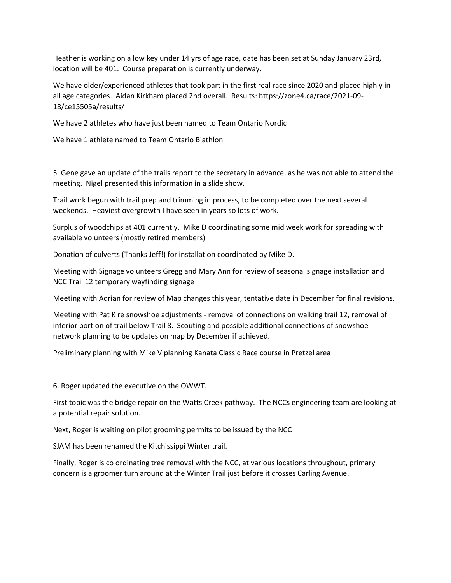Heather is working on a low key under 14 yrs of age race, date has been set at Sunday January 23rd, location will be 401. Course preparation is currently underway.

We have older/experienced athletes that took part in the first real race since 2020 and placed highly in all age categories. Aidan Kirkham placed 2nd overall. Results: https://zone4.ca/race/2021-09- 18/ce15505a/results/

We have 2 athletes who have just been named to Team Ontario Nordic

We have 1 athlete named to Team Ontario Biathlon

5. Gene gave an update of the trails report to the secretary in advance, as he was not able to attend the meeting. Nigel presented this information in a slide show.

Trail work begun with trail prep and trimming in process, to be completed over the next several weekends. Heaviest overgrowth I have seen in years so lots of work.

Surplus of woodchips at 401 currently. Mike D coordinating some mid week work for spreading with available volunteers (mostly retired members)

Donation of culverts (Thanks Jeff!) for installation coordinated by Mike D.

Meeting with Signage volunteers Gregg and Mary Ann for review of seasonal signage installation and NCC Trail 12 temporary wayfinding signage

Meeting with Adrian for review of Map changes this year, tentative date in December for final revisions.

Meeting with Pat K re snowshoe adjustments - removal of connections on walking trail 12, removal of inferior portion of trail below Trail 8. Scouting and possible additional connections of snowshoe network planning to be updates on map by December if achieved.

Preliminary planning with Mike V planning Kanata Classic Race course in Pretzel area

6. Roger updated the executive on the OWWT.

First topic was the bridge repair on the Watts Creek pathway. The NCCs engineering team are looking at a potential repair solution.

Next, Roger is waiting on pilot grooming permits to be issued by the NCC

SJAM has been renamed the Kitchissippi Winter trail.

Finally, Roger is co ordinating tree removal with the NCC, at various locations throughout, primary concern is a groomer turn around at the Winter Trail just before it crosses Carling Avenue.